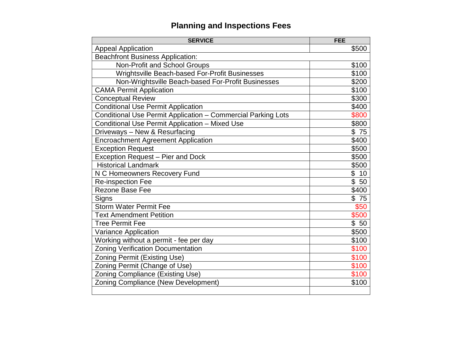## **Planning and Inspections Fees**

| <b>SERVICE</b>                                               | <b>FEE</b> |
|--------------------------------------------------------------|------------|
| <b>Appeal Application</b>                                    | \$500      |
| <b>Beachfront Business Application:</b>                      |            |
| Non-Profit and School Groups                                 | \$100      |
| Wrightsville Beach-based For-Profit Businesses               | \$100      |
| Non-Wrightsville Beach-based For-Profit Businesses           | \$200      |
| <b>CAMA Permit Application</b>                               | \$100      |
| <b>Conceptual Review</b>                                     | \$300      |
| <b>Conditional Use Permit Application</b>                    | \$400      |
| Conditional Use Permit Application - Commercial Parking Lots | \$800      |
| Conditional Use Permit Application - Mixed Use               | \$800      |
| Driveways - New & Resurfacing                                | \$75       |
| <b>Encroachment Agreement Application</b>                    | \$400      |
| <b>Exception Request</b>                                     | \$500      |
| Exception Request - Pier and Dock                            | \$500      |
| <b>Historical Landmark</b>                                   | \$500      |
| N C Homeowners Recovery Fund                                 | \$10       |
| <b>Re-inspection Fee</b>                                     | \$50       |
| <b>Rezone Base Fee</b>                                       | \$400      |
| Signs                                                        | \$75       |
| <b>Storm Water Permit Fee</b>                                | \$50       |
| <b>Text Amendment Petition</b>                               | \$500      |
| <b>Tree Permit Fee</b>                                       | \$50       |
| Variance Application                                         | \$500      |
| Working without a permit - fee per day                       | \$100      |
| <b>Zoning Verification Documentation</b>                     | \$100      |
| <b>Zoning Permit (Existing Use)</b>                          | \$100      |
| Zoning Permit (Change of Use)                                | \$100      |
| <b>Zoning Compliance (Existing Use)</b>                      | \$100      |
| Zoning Compliance (New Development)                          | \$100      |
|                                                              |            |